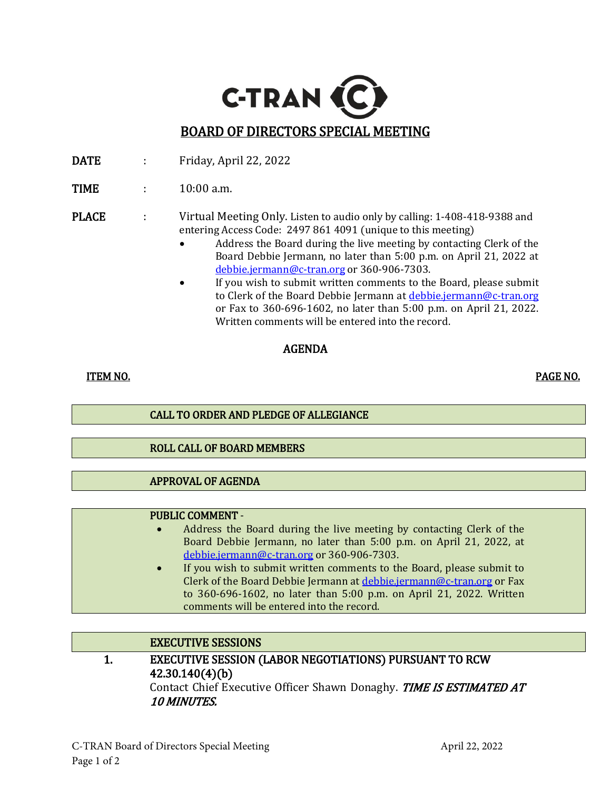

- DATE : Friday, April 22, 2022
- **TIME** : 10:00 a.m.

#### PLACE : Virtual Meeting Only. Listen to audio only by calling: 1-408-418-9388 and entering Access Code: 2497 861 4091 (unique to this meeting)

- Address the Board during the live meeting by contacting Clerk of the Board Debbie Jermann, no later than 5:00 p.m. on April 21, 2022 at [debbie.jermann@c-tran.org](mailto:debbie.jermann@c-tran.org) or 360-906-7303.
- If you wish to submit written comments to the Board, please submit to Clerk of the Board Debbie Jermann at [debbie.jermann@c-tran.org](mailto:debbie.jermann@c-tran.org) or Fax to 360-696-1602, no later than 5:00 p.m. on April 21, 2022. Written comments will be entered into the record.

### AGENDA

l,

## ITEM NO. PAGE NO.

l,

### CALL TO ORDER AND PLEDGE OF ALLEGIANCE

### ROLL CALL OF BOARD MEMBERS

### APPROVAL OF AGENDA

#### PUBLIC COMMENT -

- Address the Board during the live meeting by contacting Clerk of the Board Debbie Jermann, no later than 5:00 p.m. on April 21, 2022, at [debbie.jermann@c-tran.org](mailto:debbie.jermann@c-tran.org) or 360-906-7303.
- If you wish to submit written comments to the Board, please submit to Clerk of the Board Debbie Jermann at [debbie.jermann@c-tran.org](mailto:debbie.jermann@c-tran.org) or Fax to 360-696-1602, no later than 5:00 p.m. on April 21, 2022. Written comments will be entered into the record.

### EXECUTIVE SESSIONS

1. EXECUTIVE SESSION (LABOR NEGOTIATIONS) PURSUANT TO RCW 42.30.140(4)(b) Contact Chief Executive Officer Shawn Donaghy. TIME IS ESTIMATED AT 10 MINUTES.